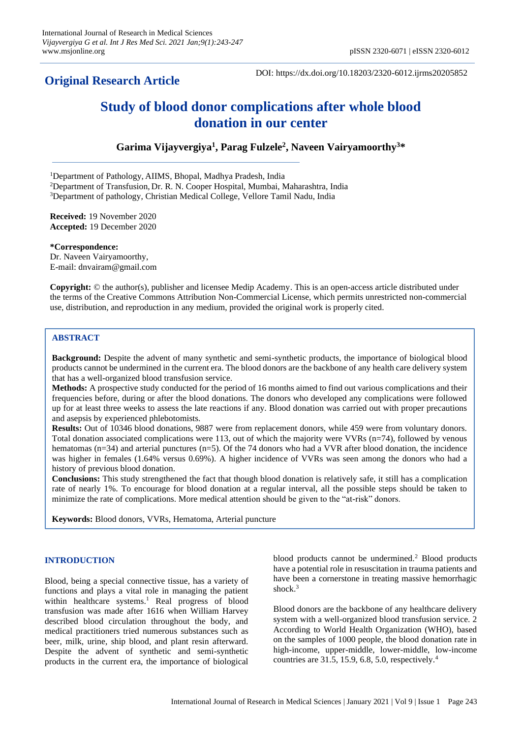# **Original Research Article**

DOI: https://dx.doi.org/10.18203/2320-6012.ijrms20205852

# **Study of blood donor complications after whole blood donation in our center**

**Garima Vijayvergiya<sup>1</sup> , Parag Fulzele<sup>2</sup> , Naveen Vairyamoorthy<sup>3</sup>\***

<sup>1</sup>Department of Pathology, AIIMS, Bhopal, Madhya Pradesh, India

<sup>2</sup>Department of Transfusion, Dr. R. N. Cooper Hospital, Mumbai, Maharashtra, India

<sup>3</sup>Department of pathology, Christian Medical College, Vellore Tamil Nadu, India

**Received:** 19 November 2020 **Accepted:** 19 December 2020

**\*Correspondence:** Dr. Naveen Vairyamoorthy, E-mail: dnvairam@gmail.com

**Copyright:** © the author(s), publisher and licensee Medip Academy. This is an open-access article distributed under the terms of the Creative Commons Attribution Non-Commercial License, which permits unrestricted non-commercial use, distribution, and reproduction in any medium, provided the original work is properly cited.

# **ABSTRACT**

**Background:** Despite the advent of many synthetic and semi-synthetic products, the importance of biological blood products cannot be undermined in the current era. The blood donors are the backbone of any health care delivery system that has a well-organized blood transfusion service.

**Methods:** A prospective study conducted for the period of 16 months aimed to find out various complications and their frequencies before, during or after the blood donations. The donors who developed any complications were followed up for at least three weeks to assess the late reactions if any. Blood donation was carried out with proper precautions and asepsis by experienced phlebotomists.

**Results:** Out of 10346 blood donations, 9887 were from replacement donors, while 459 were from voluntary donors. Total donation associated complications were 113, out of which the majority were VVRs (n=74), followed by venous hematomas (n=34) and arterial punctures (n=5). Of the 74 donors who had a VVR after blood donation, the incidence was higher in females (1.64% versus 0.69%). A higher incidence of VVRs was seen among the donors who had a history of previous blood donation.

**Conclusions:** This study strengthened the fact that though blood donation is relatively safe, it still has a complication rate of nearly 1%. To encourage for blood donation at a regular interval, all the possible steps should be taken to minimize the rate of complications. More medical attention should be given to the "at-risk" donors.

**Keywords:** Blood donors, VVRs, Hematoma, Arterial puncture

## **INTRODUCTION**

Blood, being a special connective tissue, has a variety of functions and plays a vital role in managing the patient within healthcare systems.<sup>1</sup> Real progress of blood transfusion was made after 1616 when William Harvey described blood circulation throughout the body, and medical practitioners tried numerous substances such as beer, milk, urine, ship blood, and plant resin afterward. Despite the advent of synthetic and semi-synthetic products in the current era, the importance of biological blood products cannot be undermined.<sup>2</sup> Blood products have a potential role in resuscitation in trauma patients and have been a cornerstone in treating massive hemorrhagic shock.<sup>3</sup>

Blood donors are the backbone of any healthcare delivery system with a well-organized blood transfusion service. 2 According to World Health Organization (WHO), based on the samples of 1000 people, the blood donation rate in high-income, upper-middle, lower-middle, low-income countries are 31.5, 15.9, 6.8, 5.0, respectively.<sup>4</sup>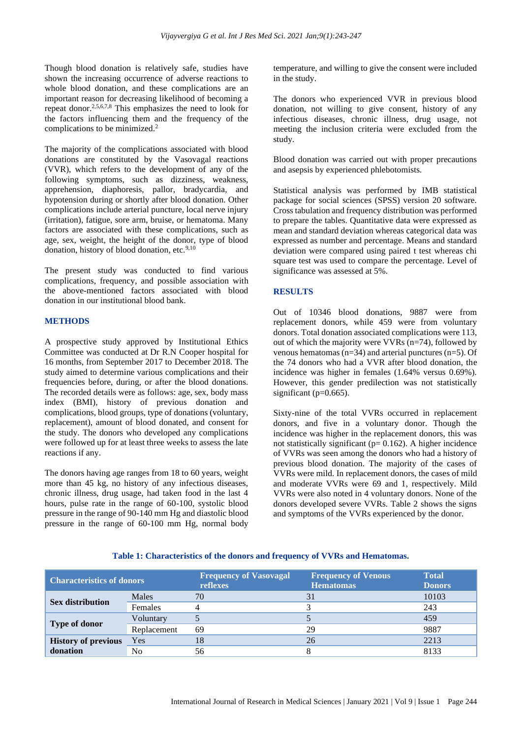Though blood donation is relatively safe, studies have shown the increasing occurrence of adverse reactions to whole blood donation, and these complications are an important reason for decreasing likelihood of becoming a repeat donor.2,5,6,7,8 This emphasizes the need to look for the factors influencing them and the frequency of the complications to be minimized.<sup>2</sup>

The majority of the complications associated with blood donations are constituted by the Vasovagal reactions (VVR), which refers to the development of any of the following symptoms, such as dizziness, weakness, apprehension, diaphoresis, pallor, bradycardia, and hypotension during or shortly after blood donation. Other complications include arterial puncture, local nerve injury (irritation), fatigue, sore arm, bruise, or hematoma. Many factors are associated with these complications, such as age, sex, weight, the height of the donor, type of blood donation, history of blood donation, etc.<sup>9,10</sup>

The present study was conducted to find various complications, frequency, and possible association with the above-mentioned factors associated with blood donation in our institutional blood bank.

#### **METHODS**

A prospective study approved by Institutional Ethics Committee was conducted at Dr R.N Cooper hospital for 16 months, from September 2017 to December 2018. The study aimed to determine various complications and their frequencies before, during, or after the blood donations. The recorded details were as follows: age, sex, body mass index (BMI), history of previous donation and complications, blood groups, type of donations (voluntary, replacement), amount of blood donated, and consent for the study. The donors who developed any complications were followed up for at least three weeks to assess the late reactions if any.

The donors having age ranges from 18 to 60 years, weight more than 45 kg, no history of any infectious diseases, chronic illness, drug usage, had taken food in the last 4 hours, pulse rate in the range of 60-100, systolic blood pressure in the range of 90-140 mm Hg and diastolic blood pressure in the range of 60-100 mm Hg, normal body temperature, and willing to give the consent were included in the study.

The donors who experienced VVR in previous blood donation, not willing to give consent, history of any infectious diseases, chronic illness, drug usage, not meeting the inclusion criteria were excluded from the study.

Blood donation was carried out with proper precautions and asepsis by experienced phlebotomists.

Statistical analysis was performed by IMB statistical package for social sciences (SPSS) version 20 software. Cross tabulation and frequency distribution was performed to prepare the tables. Quantitative data were expressed as mean and standard deviation whereas categorical data was expressed as number and percentage. Means and standard deviation were compared using paired t test whereas chi square test was used to compare the percentage. Level of significance was assessed at 5%.

#### **RESULTS**

Out of 10346 blood donations, 9887 were from replacement donors, while 459 were from voluntary donors. Total donation associated complications were 113, out of which the majority were VVRs (n=74), followed by venous hematomas ( $n=34$ ) and arterial punctures ( $n=5$ ). Of the 74 donors who had a VVR after blood donation, the incidence was higher in females (1.64% versus 0.69%). However, this gender predilection was not statistically significant ( $p=0.665$ ).

Sixty-nine of the total VVRs occurred in replacement donors, and five in a voluntary donor. Though the incidence was higher in the replacement donors, this was not statistically significant ( $p= 0.162$ ). A higher incidence of VVRs was seen among the donors who had a history of previous blood donation. The majority of the cases of VVRs were mild. In replacement donors, the cases of mild and moderate VVRs were 69 and 1, respectively. Mild VVRs were also noted in 4 voluntary donors. None of the donors developed severe VVRs. Table 2 shows the signs and symptoms of the VVRs experienced by the donor.

#### **Table 1: Characteristics of the donors and frequency of VVRs and Hematomas.**

| <b>Characteristics of donors</b>       |             | <b>Frequency of Vasovagal</b><br>reflexes | <b>Frequency of Venous</b><br><b>Hematomas</b> | <b>Total</b><br><b>Donors</b> |
|----------------------------------------|-------------|-------------------------------------------|------------------------------------------------|-------------------------------|
| <b>Sex distribution</b>                | Males       | 70                                        |                                                | 10103                         |
|                                        | Females     |                                           |                                                | 243                           |
| <b>Type of donor</b>                   | Voluntary   |                                           |                                                | 459                           |
|                                        | Replacement | 69                                        | 29                                             | 9887                          |
| <b>History of previous</b><br>donation | Yes         | 18                                        | 26                                             | 2213                          |
|                                        | No          | 56                                        |                                                | 8133                          |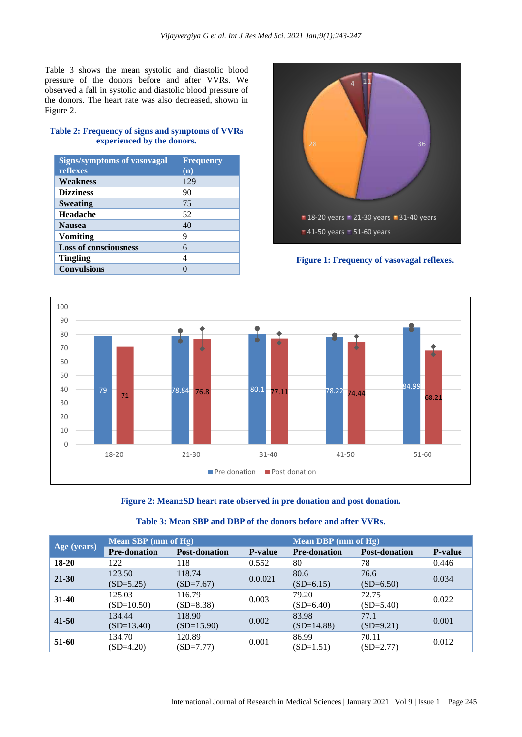Table 3 shows the mean systolic and diastolic blood pressure of the donors before and after VVRs. We observed a fall in systolic and diastolic blood pressure of the donors. The heart rate was also decreased, shown in Figure 2.

# **Table 2: Frequency of signs and symptoms of VVRs experienced by the donors.**

| <b>Signs/symptoms of vasovagal</b> | <b>Frequency</b> |
|------------------------------------|------------------|
| reflexes                           | (n)              |
| Weakness                           | 129              |
| <b>Dizziness</b>                   | 90               |
| <b>Sweating</b>                    | 75               |
| Headache                           | 52               |
| <b>Nausea</b>                      | 40               |
| <b>Vomiting</b>                    | 9                |
| <b>Loss of consciousness</b>       | 6                |
| <b>Tingling</b>                    | 4                |
| <b>Convulsions</b>                 |                  |



**Figure 1: Frequency of vasovagal reflexes.**





| Age (years) | Mean SBP (mm of Hg)    |                        |                | Mean DBP (mm of Hg)   |                      |                |
|-------------|------------------------|------------------------|----------------|-----------------------|----------------------|----------------|
|             | <b>Pre-donation</b>    | <b>Post-donation</b>   | <b>P-value</b> | <b>Pre-donation</b>   | <b>Post-donation</b> | <b>P-value</b> |
| 18-20       | 122                    | 118                    | 0.552          | 80                    | 78                   | 0.446          |
| $21 - 30$   | 123.50<br>$(SD=5.25)$  | 118.74<br>$(SD=7.67)$  | 0.0.021        | 80.6<br>$(SD=6.15)$   | 76.6<br>$(SD=6.50)$  | 0.034          |
| $31 - 40$   | 125.03<br>$(SD=10.50)$ | 116.79<br>$(SD=8.38)$  | 0.003          | 79.20<br>$(SD=6.40)$  | 72.75<br>$(SD=5.40)$ | 0.022          |
| $41 - 50$   | 134.44<br>$(SD=13.40)$ | 118.90<br>$(SD=15.90)$ | 0.002          | 83.98<br>$(SD=14.88)$ | 77.1<br>$(SD=9.21)$  | 0.001          |
| 51-60       | 134.70<br>$(SD=4.20)$  | 120.89<br>$(SD=7.77)$  | 0.001          | 86.99<br>$(SD=1.51)$  | 70.11<br>$(SD=2.77)$ | 0.012          |

# **Table 3: Mean SBP and DBP of the donors before and after VVRs.**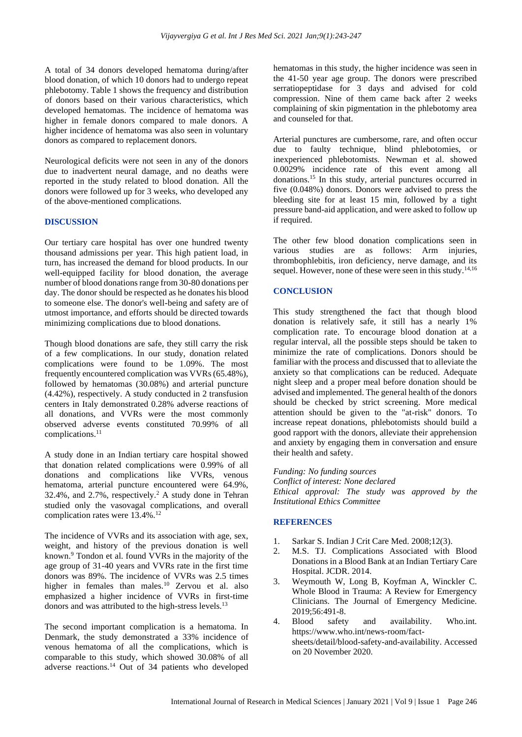A total of 34 donors developed hematoma during/after blood donation, of which 10 donors had to undergo repeat phlebotomy. Table 1 shows the frequency and distribution of donors based on their various characteristics, which developed hematomas. The incidence of hematoma was higher in female donors compared to male donors. A higher incidence of hematoma was also seen in voluntary donors as compared to replacement donors.

Neurological deficits were not seen in any of the donors due to inadvertent neural damage, and no deaths were reported in the study related to blood donation. All the donors were followed up for 3 weeks, who developed any of the above-mentioned complications.

#### **DISCUSSION**

Our tertiary care hospital has over one hundred twenty thousand admissions per year. This high patient load, in turn, has increased the demand for blood products. In our well-equipped facility for blood donation, the average number of blood donations range from 30-80 donations per day. The donor should be respected as he donates his blood to someone else. The donor's well-being and safety are of utmost importance, and efforts should be directed towards minimizing complications due to blood donations.

Though blood donations are safe, they still carry the risk of a few complications. In our study, donation related complications were found to be 1.09%. The most frequently encountered complication was VVRs (65.48%), followed by hematomas (30.08%) and arterial puncture (4.42%), respectively. A study conducted in 2 transfusion centers in Italy demonstrated 0.28% adverse reactions of all donations, and VVRs were the most commonly observed adverse events constituted 70.99% of all complications.<sup>11</sup>

A study done in an Indian tertiary care hospital showed that donation related complications were 0.99% of all donations and complications like VVRs, venous hematoma, arterial puncture encountered were 64.9%, 32.4%, and  $2.7\%$ , respectively.<sup>2</sup> A study done in Tehran studied only the vasovagal complications, and overall complication rates were 13.4%.<sup>12</sup>

The incidence of VVRs and its association with age, sex, weight, and history of the previous donation is well known.<sup>9</sup> Tondon et al. found VVRs in the majority of the age group of 31-40 years and VVRs rate in the first time donors was 89%. The incidence of VVRs was 2.5 times higher in females than males.<sup>10</sup> Zervou et al. also emphasized a higher incidence of VVRs in first-time donors and was attributed to the high-stress levels.<sup>13</sup>

The second important complication is a hematoma. In Denmark, the study demonstrated a 33% incidence of venous hematoma of all the complications, which is comparable to this study, which showed 30.08% of all adverse reactions.<sup>14</sup> Out of 34 patients who developed hematomas in this study, the higher incidence was seen in the 41-50 year age group. The donors were prescribed serratiopeptidase for 3 days and advised for cold compression. Nine of them came back after 2 weeks complaining of skin pigmentation in the phlebotomy area and counseled for that.

Arterial punctures are cumbersome, rare, and often occur due to faulty technique, blind phlebotomies, or inexperienced phlebotomists. Newman et al. showed 0.0029% incidence rate of this event among all donations.<sup>15</sup> In this study, arterial punctures occurred in five (0.048%) donors. Donors were advised to press the bleeding site for at least 15 min, followed by a tight pressure band-aid application, and were asked to follow up if required.

The other few blood donation complications seen in various studies are as follows: Arm injuries, thrombophlebitis, iron deficiency, nerve damage, and its sequel. However, none of these were seen in this study.<sup>14,16</sup>

# **CONCLUSION**

This study strengthened the fact that though blood donation is relatively safe, it still has a nearly 1% complication rate. To encourage blood donation at a regular interval, all the possible steps should be taken to minimize the rate of complications. Donors should be familiar with the process and discussed that to alleviate the anxiety so that complications can be reduced. Adequate night sleep and a proper meal before donation should be advised and implemented. The general health of the donors should be checked by strict screening. More medical attention should be given to the "at-risk" donors. To increase repeat donations, phlebotomists should build a good rapport with the donors, alleviate their apprehension and anxiety by engaging them in conversation and ensure their health and safety.

*Funding: No funding sources Conflict of interest: None declared Ethical approval: The study was approved by the Institutional Ethics Committee*

### **REFERENCES**

- 1. Sarkar S. Indian J Crit Care Med. 2008;12(3).
- 2. M.S. TJ. Complications Associated with Blood Donations in a Blood Bank at an Indian Tertiary Care Hospital. JCDR. 2014.
- 3. Weymouth W, Long B, Koyfman A, Winckler C. Whole Blood in Trauma: A Review for Emergency Clinicians. The Journal of Emergency Medicine. 2019;56:491-8.
- 4. Blood safety and availability. Who.int. https://www.who.int/news-room/factsheets/detail/blood-safety-and-availability. Accessed on 20 November 2020.